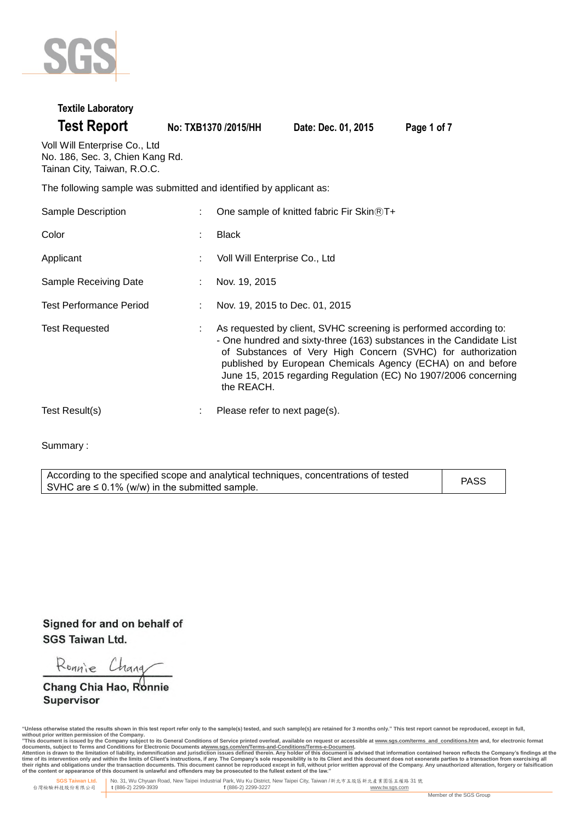

#### **Textile Laboratory**

| <b>Test Report</b> |  |
|--------------------|--|
|                    |  |

```
Test Report No: TXB1370 /2015/HH Date: Dec. 01, 2015 Page 1 of 7
```
Voll Will Enterprise Co., Ltd No. 186, Sec. 3, Chien Kang Rd. Tainan City, Taiwan, R.O.C.

The following sample was submitted and identified by applicant as:

| Sample Description             |    | One sample of knitted fabric Fir Skin ®T+                                                                                                                                                                                                                                                                                                                |
|--------------------------------|----|----------------------------------------------------------------------------------------------------------------------------------------------------------------------------------------------------------------------------------------------------------------------------------------------------------------------------------------------------------|
| Color                          | t  | <b>Black</b>                                                                                                                                                                                                                                                                                                                                             |
| Applicant                      |    | Voll Will Enterprise Co., Ltd                                                                                                                                                                                                                                                                                                                            |
| Sample Receiving Date          |    | Nov. 19, 2015                                                                                                                                                                                                                                                                                                                                            |
| <b>Test Performance Period</b> | ÷  | Nov. 19, 2015 to Dec. 01, 2015                                                                                                                                                                                                                                                                                                                           |
| <b>Test Requested</b>          | ÷  | As requested by client, SVHC screening is performed according to:<br>- One hundred and sixty-three (163) substances in the Candidate List<br>of Substances of Very High Concern (SVHC) for authorization<br>published by European Chemicals Agency (ECHA) on and before<br>June 15, 2015 regarding Regulation (EC) No 1907/2006 concerning<br>the REACH. |
| Test Result(s)                 | ÷. | Please refer to next page(s).                                                                                                                                                                                                                                                                                                                            |

Summary :

According to the specified scope and analytical techniques, concentrations of tested SVHC are  $\leq$  0.1% (w/w) in the submitted sample. PASS

Signed for and on behalf of **SGS Taiwan Ltd.** 

Ronnie Chang

Chang Chia Hao, Ronnie Supervisor

<sup>&</sup>quot;Unless otherwise stated the results shown in this test report refer only to the sample(s) tested, and such sample(s) are retained for 3 months only." This test report cannot be reproduced, except in full,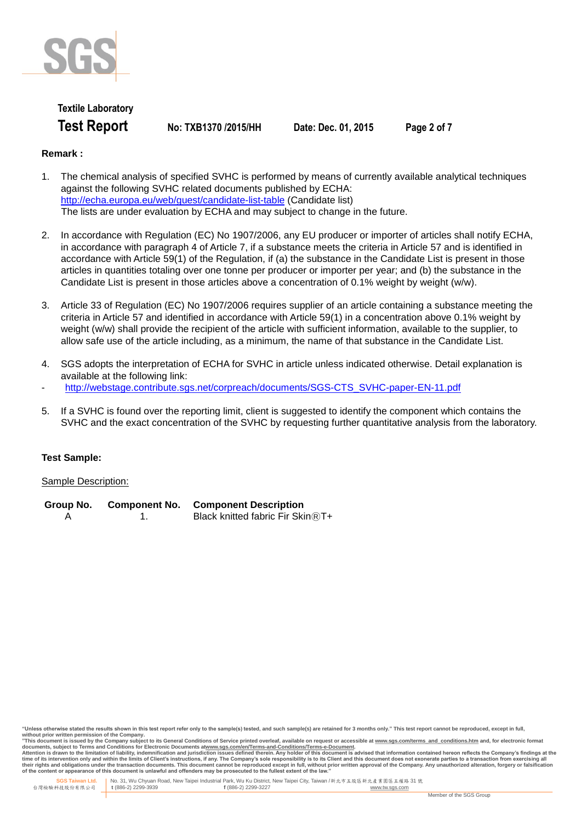

## **Textile Laboratory Test Report No: TXB1370 /2015/HH Date: Dec. 01, 2015 Page 2 of 7**

### **Remark :**

- 1. The chemical analysis of specified SVHC is performed by means of currently available analytical techniques against the following SVHC related documents published by ECHA: http://echa.europa.eu/web/guest/candidate-list-table (Candidate list) The lists are under evaluation by ECHA and may subject to change in the future.
- 2. In accordance with Regulation (EC) No 1907/2006, any EU producer or importer of articles shall notify ECHA, in accordance with paragraph 4 of Article 7, if a substance meets the criteria in Article 57 and is identified in accordance with Article 59(1) of the Regulation, if (a) the substance in the Candidate List is present in those articles in quantities totaling over one tonne per producer or importer per year; and (b) the substance in the Candidate List is present in those articles above a concentration of 0.1% weight by weight (w/w).
- 3. Article 33 of Regulation (EC) No 1907/2006 requires supplier of an article containing a substance meeting the criteria in Article 57 and identified in accordance with Article 59(1) in a concentration above 0.1% weight by weight (w/w) shall provide the recipient of the article with sufficient information, available to the supplier, to allow safe use of the article including, as a minimum, the name of that substance in the Candidate List.
- 4. SGS adopts the interpretation of ECHA for SVHC in article unless indicated otherwise. Detail explanation is available at the following link:
- http://webstage.contribute.sgs.net/corpreach/documents/SGS-CTS\_SVHC-paper-EN-11.pdf
- 5. If a SVHC is found over the reporting limit, client is suggested to identify the component which contains the SVHC and the exact concentration of the SVHC by requesting further quantitative analysis from the laboratory.

#### **Test Sample:**

#### Sample Description:

| Group No. | <b>Component No.</b> | <b>Component Description</b>      |
|-----------|----------------------|-----------------------------------|
|           |                      | Black knitted fabric Fir Skin ®T+ |

without prior written permission of the Company.<br>"This document is issued by the Company subject to its General Conditions of Service printed overleaf, available on request or accessible at <u>www.sqs.com/terms and condition</u> **of the content or appearance of this document is unlawful and offenders may be prosecuted to the fullest extent of the law."**

<sup>&</sup>quot;Unless otherwise stated the results shown in this test report refer only to the sample(s) tested, and such sample(s) are retained for 3 months only." This test report cannot be reproduced, except in full.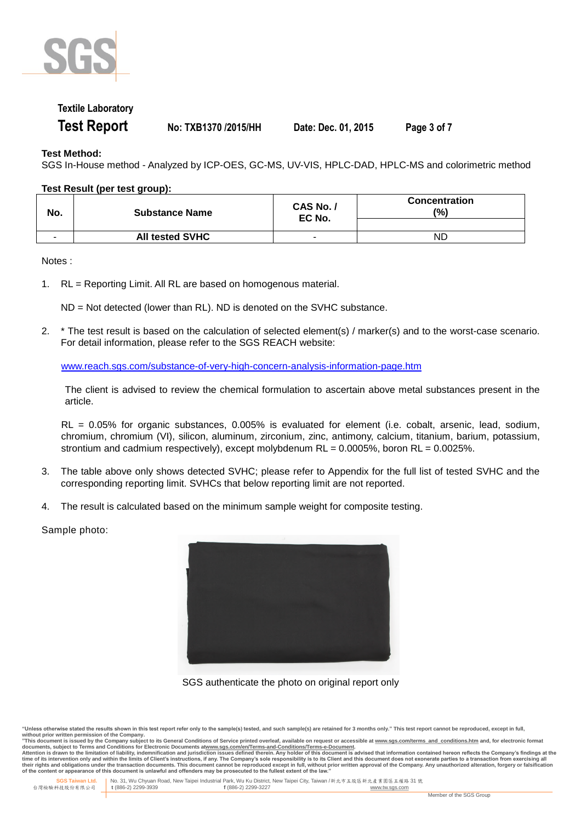

### **Textile Laboratory**

**Test Report No: TXB1370 /2015/HH Date: Dec. 01, 2015 Page 3 of 7**

#### **Test Method:**

SGS In-House method - Analyzed by ICP-OES, GC-MS, UV-VIS, HPLC-DAD, HPLC-MS and colorimetric method

#### **Test Result (per test group):**

| No.                      | <b>Substance Name</b>  | CAS No. /<br>EC No. | <b>Concentration</b><br>(%) |
|--------------------------|------------------------|---------------------|-----------------------------|
| $\overline{\phantom{a}}$ | <b>All tested SVHC</b> |                     | ND                          |

Notes :

1. RL = Reporting Limit. All RL are based on homogenous material.

ND = Not detected (lower than RL). ND is denoted on the SVHC substance.

2. \* The test result is based on the calculation of selected element(s) / marker(s) and to the worst-case scenario. For detail information, please refer to the SGS REACH website:

www.reach.sgs.com/substance-of-very-high-concern-analysis-information-page.htm

The client is advised to review the chemical formulation to ascertain above metal substances present in the article.

RL = 0.05% for organic substances, 0.005% is evaluated for element (i.e. cobalt, arsenic, lead, sodium, chromium, chromium (VI), silicon, aluminum, zirconium, zinc, antimony, calcium, titanium, barium, potassium, strontium and cadmium respectively), except molybdenum  $RL = 0.0005\%$ , boron  $RL = 0.0025\%$ .

- 3. The table above only shows detected SVHC; please refer to Appendix for the full list of tested SVHC and the corresponding reporting limit. SVHCs that below reporting limit are not reported.
- 4. The result is calculated based on the minimum sample weight for composite testing.

Sample photo:



SGS authenticate the photo on original report only

without prior written permission of the Company.<br>"This document is issued by the Company subject to its General Conditions of Service printed overleaf, available on request or accessible at <u>www.sqs.com/terms and condition</u> **of the content or appearance of this document is unlawful and offenders may be prosecuted to the fullest extent of the law."**

<sup>&</sup>quot;Unless otherwise stated the results shown in this test report refer only to the sample(s) tested, and such sample(s) are retained for 3 months only." This test report cannot be reproduced, except in full.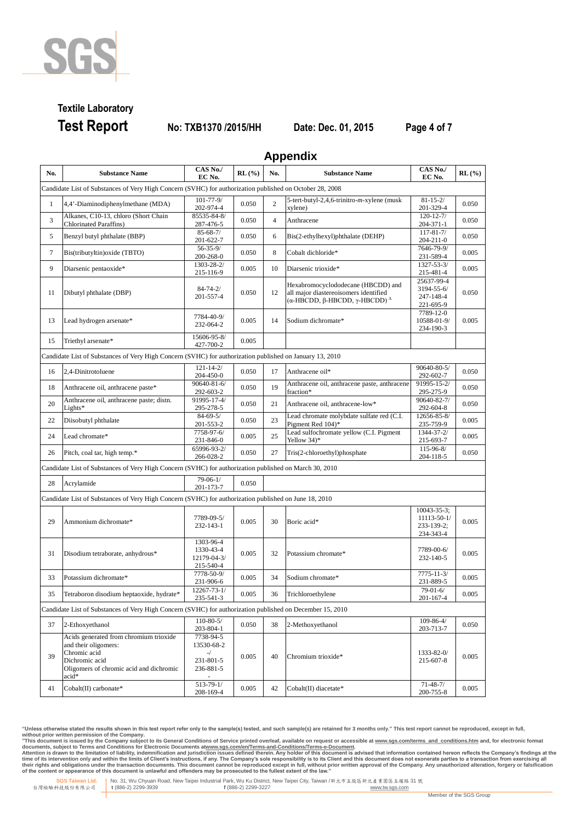

# **Textile Laboratory Test Report No: TXB1370 /2015/HH Date: Dec. 01, 2015 Page 4 of 7**

**Appendix**

| No. | <b>Substance Name</b>                                                                                                                                | CAS No./<br>EC No.                                         | $RL(\%)$ | . .<br>No.     | <b>Substance Name</b>                                                                                                   | CAS No./<br>EC No.                                           | RL(%) |
|-----|------------------------------------------------------------------------------------------------------------------------------------------------------|------------------------------------------------------------|----------|----------------|-------------------------------------------------------------------------------------------------------------------------|--------------------------------------------------------------|-------|
|     | Candidate List of Substances of Very High Concern (SVHC) for authorization published on October 28, 2008                                             |                                                            |          |                |                                                                                                                         |                                                              |       |
| 1   | 4,4'-Diaminodiphenylmethane (MDA)                                                                                                                    | $101 - 77 - 9/$<br>202-974-4                               | 0.050    | $\overline{2}$ | 5-tert-butyl-2,4,6-trinitro-m-xylene (musk<br>xylene)                                                                   | $81 - 15 - 2/$<br>201-329-4                                  | 0.050 |
| 3   | Alkanes, C10-13, chloro (Short Chain<br><b>Chlorinated Paraffins</b> )                                                                               | 85535-84-8/<br>287-476-5                                   | 0.050    | 4              | Anthracene                                                                                                              | $120 - 12 - 7/$<br>$204 - 371 - 1$                           | 0.050 |
| 5   | Benzyl butyl phthalate (BBP)                                                                                                                         | $85 - 68 - 7/$<br>201-622-7                                | 0.050    | 6              | Bis(2-ethylhexyl)phthalate (DEHP)                                                                                       | $117 - 81 - 7/$<br>$204 - 211 - 0$                           | 0.050 |
| 7   | Bis(tributyltin) oxide (TBTO)                                                                                                                        | $56 - 35 - 9/$<br>200-268-0                                | 0.050    | 8              | Cobalt dichloride*                                                                                                      | 7646-79-9/<br>231-589-4                                      | 0.005 |
| 9   | Diarsenic pentaoxide*                                                                                                                                | 1303-28-2/<br>215-116-9                                    | 0.005    | 10             | Diarsenic trioxide*                                                                                                     | 1327-53-3/<br>215-481-4                                      | 0.005 |
| 11  | Dibutyl phthalate (DBP)                                                                                                                              | $84 - 74 - 2/$<br>201-557-4                                | 0.050    | 12             | Hexabromocyclododecane (HBCDD) and<br>all major diastereoisomers identified<br>(α-HBCDD, β-HBCDD, γ-HBCDD) <sup>Δ</sup> | 25637-99-4<br>3194-55-6/<br>247-148-4<br>221-695-9           | 0.050 |
| 13  | Lead hydrogen arsenate*                                                                                                                              | 7784-40-9/<br>232-064-2                                    | 0.005    | 14             | Sodium dichromate*                                                                                                      | 7789-12-0<br>10588-01-9/<br>234-190-3                        | 0.005 |
| 15  | Triethyl arsenate*                                                                                                                                   | 15606-95-8/<br>427-700-2                                   | 0.005    |                |                                                                                                                         |                                                              |       |
|     | Candidate List of Substances of Very High Concern (SVHC) for authorization published on January 13, 2010                                             |                                                            |          |                |                                                                                                                         |                                                              |       |
| 16  | 2,4-Dinitrotoluene                                                                                                                                   | $121 - 14 - 2/$<br>204-450-0                               | 0.050    | 17             | Anthracene oil*                                                                                                         | 90640-80-5/<br>292-602-7                                     | 0.050 |
| 18  | Anthracene oil, anthracene paste*                                                                                                                    | 90640-81-6/<br>292-603-2                                   | 0.050    | 19             | Anthracene oil, anthracene paste, anthracene<br>fraction*                                                               | 91995-15-2/<br>295-275-9                                     | 0.050 |
| 20  | Anthracene oil, anthracene paste; distn.<br>Lights*                                                                                                  | 91995-17-4/<br>295-278-5                                   | 0.050    | 21             | Anthracene oil, anthracene-low*                                                                                         | 90640-82-7/<br>292-604-8                                     | 0.050 |
| 22  | Diisobutyl phthalate                                                                                                                                 | $84 - 69 - 5/$<br>201-553-2                                | 0.050    | 23             | Lead chromate molybdate sulfate red (C.I.<br>Pigment Red 104)*                                                          | 12656-85-8/<br>235-759-9                                     | 0.005 |
| 24  | Lead chromate*                                                                                                                                       | 7758-97-6/<br>231-846-0                                    | 0.005    | 25             | Lead sulfochromate yellow (C.I. Pigment<br>Yellow 34)*                                                                  | 1344-37-2/<br>215-693-7                                      | 0.005 |
| 26  | Pitch, coal tar, high temp.*                                                                                                                         | 65996-93-2/<br>266-028-2                                   | 0.050    | 27             | Tris(2-chloroethyl)phosphate                                                                                            | 115-96-8/<br>204-118-5                                       | 0.050 |
|     | Candidate List of Substances of Very High Concern (SVHC) for authorization published on March 30, 2010                                               |                                                            |          |                |                                                                                                                         |                                                              |       |
| 28  | Acrylamide                                                                                                                                           | $79-06-1/$<br>201-173-7                                    | 0.050    |                |                                                                                                                         |                                                              |       |
|     | Candidate List of Substances of Very High Concern (SVHC) for authorization published on June 18, 2010                                                |                                                            |          |                |                                                                                                                         |                                                              |       |
| 29  | Ammonium dichromate*                                                                                                                                 | 7789-09-5/<br>232-143-1                                    | 0.005    | 30             | Boric acid*                                                                                                             | $10043 - 35 - 3$ ;<br>11113-50-1/<br>233-139-2;<br>234-343-4 | 0.005 |
| 31  | Disodium tetraborate, anhydrous*                                                                                                                     | 1303-96-4<br>1330-43-4<br>12179-04-3/<br>215-540-4         | 0.005    | 32             | Potassium chromate*                                                                                                     | 7789-00-6/<br>232-140-5                                      | 0.005 |
| 33  | Potassium dichromate*                                                                                                                                | 7778-50-9/<br>231-906-6                                    | 0.005    | 34             | Sodium chromate*                                                                                                        | $7775 - 11 - 3/$<br>231-889-5                                | 0.005 |
| 35  | Tetraboron disodium heptaoxide, hydrate*                                                                                                             | 12267-73-1/<br>235-541-3                                   | 0.005    | 36             | Trichloroethylene                                                                                                       | $79 - 01 - 6/$<br>$201 - 167 - 4$                            | 0.005 |
|     | Candidate List of Substances of Very High Concern (SVHC) for authorization published on December 15, 2010                                            |                                                            |          |                |                                                                                                                         |                                                              |       |
| 37  | 2-Ethoxyethanol                                                                                                                                      | $110 - 80 - 5/$<br>203-804-1                               | 0.050    | 38             | 2-Methoxyethanol                                                                                                        | 109-86-4/<br>203-713-7                                       | 0.050 |
| 39  | Acids generated from chromium trioxide<br>and their oligomers:<br>Chromic acid<br>Dichromic acid<br>Oligomers of chromic acid and dichromic<br>acid* | 7738-94-5<br>13530-68-2<br>$-$ /<br>231-801-5<br>236-881-5 | 0.005    | 40             | Chromium trioxide*                                                                                                      | 1333-82-0/<br>215-607-8                                      | 0.005 |
| 41  | Cobalt(II) carbonate*                                                                                                                                | $513 - 79 - 1/$<br>208-169-4                               | 0.005    | 42             | Cobalt(II) diacetate*                                                                                                   | $71 - 48 - 7/$<br>200-755-8                                  | 0.005 |

"Unless otherwise stated the results shown in this test report refer only to the sample(s) tested, and such sample(s) are retained for 3 months only." This test report cannot be reproduced, except in full,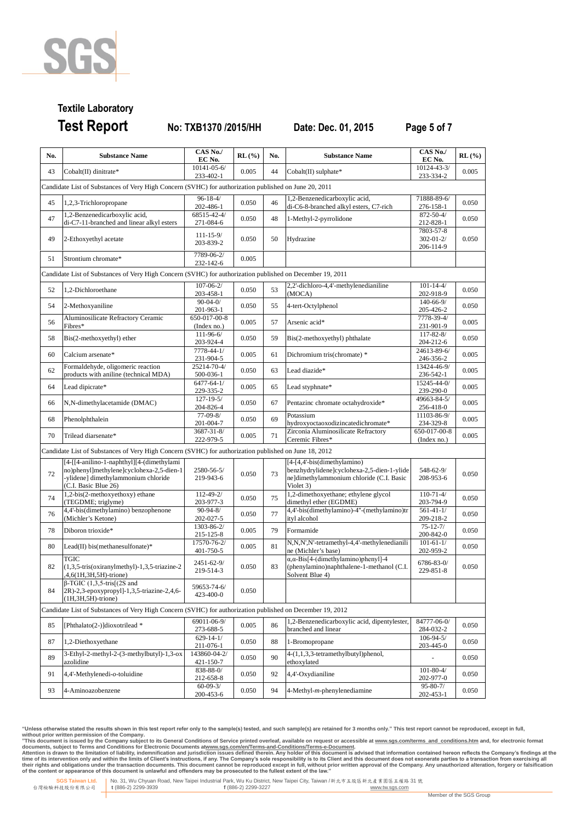

# **Textile Laboratory Test Report No: TXB1370 /2015/HH Date: Dec. 01, 2015 Page 5 of 7**

| No. | <b>Substance Name</b>                                                                                      | CAS No./<br>EC No.            | $RL(\%)$ | No. | <b>Substance Name</b>                                                                                               | CAS No./<br>EC No.                        | $RL(\%)$ |  |  |
|-----|------------------------------------------------------------------------------------------------------------|-------------------------------|----------|-----|---------------------------------------------------------------------------------------------------------------------|-------------------------------------------|----------|--|--|
| 43  | Cobalt(II) dinitrate*                                                                                      | 10141-05-6/<br>233-402-1      | 0.005    | 44  | Cobalt(II) sulphate*                                                                                                | 10124-43-3/<br>233-334-2                  | 0.005    |  |  |
|     | Candidate List of Substances of Very High Concern (SVHC) for authorization published on June 20, 2011      |                               |          |     |                                                                                                                     |                                           |          |  |  |
| 45  | 1,2,3-Trichloropropane                                                                                     | $96 - 18 - 4/$<br>202-486-1   | 0.050    | 46  | 1,2-Benzenedicarboxylic acid,<br>di-C6-8-branched alkyl esters, C7-rich                                             | 71888-89-6/<br>276-158-1                  | 0.050    |  |  |
| 47  | 1,2-Benzenedicarboxylic acid,                                                                              | 68515-42-4/                   | 0.050    | 48  | 1-Methyl-2-pyrrolidone                                                                                              | 872-50-4/                                 | 0.050    |  |  |
|     | di-C7-11-branched and linear alkyl esters                                                                  | 271-084-6                     |          |     |                                                                                                                     | 212-828-1                                 |          |  |  |
| 49  | 2-Ethoxyethyl acetate                                                                                      | $111 - 15 - 9/$<br>203-839-2  | 0.050    | 50  | Hydrazine                                                                                                           | 7803-57-8<br>$302 - 01 - 2/$<br>206-114-9 | 0.050    |  |  |
| 51  | Strontium chromate*                                                                                        | 7789-06-2/<br>232-142-6       | 0.005    |     |                                                                                                                     |                                           |          |  |  |
|     | Candidate List of Substances of Very High Concern (SVHC) for authorization published on December 19, 2011  |                               |          |     |                                                                                                                     |                                           |          |  |  |
| 52  | 1.2-Dichloroethane                                                                                         | $107 - 06 - 2/$<br>203-458-1  | 0.050    | 53  | 2,2'-dichloro-4,4'-methylenedianiline<br>(MOCA)                                                                     | $101 - 14 - 4/$<br>202-918-9              | 0.050    |  |  |
| 54  | 2-Methoxyaniline                                                                                           | $90 - 04 - 0$                 | 0.050    | 55  | 4-tert-Octylphenol                                                                                                  | 140-66-9/                                 | 0.050    |  |  |
|     | Aluminosilicate Refractory Ceramic                                                                         | 201-963-1<br>650-017-00-8     |          |     |                                                                                                                     | 205-426-2<br>7778-39-4/                   |          |  |  |
| 56  | Fibres*                                                                                                    | (Index no.)                   | 0.005    | 57  | Arsenic acid*                                                                                                       | 231-901-9                                 | 0.005    |  |  |
| 58  | Bis(2-methoxyethyl) ether                                                                                  | 111-96-6/<br>203-924-4        | 0.050    | 59  | Bis(2-methoxyethyl) phthalate                                                                                       | 117-82-8/<br>204-212-6                    | 0.050    |  |  |
| 60  | Calcium arsenate*                                                                                          | 7778-44-1/<br>231-904-5       | 0.005    | 61  | Dichromium tris(chromate) *                                                                                         | 24613-89-6/<br>246-356-2                  | 0.005    |  |  |
| 62  | Formaldehyde, oligomeric reaction                                                                          | 25214-70-4/                   | 0.050    | 63  | Lead diazide*                                                                                                       | 13424-46-9/                               | 0.005    |  |  |
| 64  | products with aniline (technical MDA)<br>Lead dipicrate*                                                   | 500-036-1<br>$6477 - 64 - 1/$ | 0.005    | 65  | Lead styphnate*                                                                                                     | 236-542-1<br>15245-44-0/                  | 0.005    |  |  |
| 66  | N,N-dimethylacetamide (DMAC)                                                                               | 229-335-2<br>$127 - 19 - 5/$  | 0.050    | 67  | Pentazinc chromate octahydroxide*                                                                                   | 239-290-0<br>49663-84-5/                  | 0.005    |  |  |
|     |                                                                                                            | 204-826-4<br>$77-09-8/$       |          |     | Potassium                                                                                                           | 256-418-0<br>11103-86-9/                  |          |  |  |
| 68  | Phenolphthalein                                                                                            | 201-004-7                     | 0.050    | 69  | hydroxyoctaoxodizincatedichromate*                                                                                  | 234-329-8                                 | 0.005    |  |  |
| 70  | Trilead diarsenate*                                                                                        | 3687-31-8/<br>222-979-5       | 0.005    | 71  | Zirconia Aluminosilicate Refractory<br>Ceremic Fibres*                                                              | 650-017-00-8<br>(Index no.)               | 0.005    |  |  |
|     | Candidate List of Substances of Very High Concern (SVHC) for authorization published on June 18, 2012      |                               |          |     |                                                                                                                     |                                           |          |  |  |
|     | [4-[[4-anilino-1-naphthyl][4-(dimethylami                                                                  |                               |          |     | [4-[4,4'-bis(dimethylamino)                                                                                         |                                           |          |  |  |
| 72  | no)phenyl]methylene]cyclohexa-2,5-dien-1<br>-ylidene] dimethylammonium chloride<br>(C.I. Basic Blue 26)    | 2580-56-5/<br>219-943-6       | 0.050    | 73  | benzhydrylidene]cyclohexa-2,5-dien-1-ylide<br>ne]dimethylammonium chloride (C.I. Basic<br>Violet 3)                 | 548-62-9/<br>208-953-6                    | 0.050    |  |  |
| 74  | 1,2-bis(2-methoxyethoxy) ethane                                                                            | 112-49-2/                     | 0.050    | 75  | 1,2-dimethoxyethane; ethylene glycol                                                                                | $110 - 71 - 4/$                           | 0.050    |  |  |
|     | (TEGDME; triglyme)<br>4,4'-bis(dimethylamino) benzophenone                                                 | 203-977-3<br>$90 - 94 - 8/$   |          |     | dimethyl ether (EGDME)<br>4,4'-bis(dimethylamino)-4"-(methylamino)tr                                                | 203-794-9<br>$561 - 41 - 1/$              |          |  |  |
| 76  | (Michler's Ketone)                                                                                         | 202-027-5                     | 0.050    | 77  | ityl alcohol                                                                                                        | 209-218-2                                 | 0.050    |  |  |
| 78  | Diboron trioxide*                                                                                          | 1303-86-2/<br>215-125-8       | 0.005    | 79  | Formamide                                                                                                           | $75 - 12 - 7/$<br>200-842-0               | 0.050    |  |  |
| 80  | Lead(II) bis(methanesulfonate)*                                                                            | 17570-76-2/<br>401-750-5      | 0.005    | 81  | N,N,N',N'-tetramethyl-4,4'-methylenedianili<br>ne (Michler's base)                                                  | $101 - 61 - 1/$<br>202-959-2              | 0.050    |  |  |
| 82  | TGIC<br>$(1,3,5-tris(oxiranylmethyl)-1,3,5-triazine-2)$<br>,4,6(1H,3H,5H)-trione)                          | 2451-62-9/<br>219-514-3       | 0.050    | 83  | $\alpha$ , $\alpha$ -Bis[4-(dimethylamino)phenyl]-4<br>(phenylamino)naphthalene-1-methanol (C.I.<br>Solvent Blue 4) | 6786-83-0/<br>229-851-8                   | 0.050    |  |  |
| 84  | $\beta$ -TGIC (1,3,5-tris[(2S and<br>2R)-2,3-epoxypropyl]-1,3,5-triazine-2,4,6-<br>$(1H, 3H, 5H)$ -trione) | 59653-74-6/<br>423-400-0      | 0.050    |     |                                                                                                                     |                                           |          |  |  |
|     | Candidate List of Substances of Very High Concern (SVHC) for authorization published on December 19, 2012  |                               |          |     |                                                                                                                     |                                           |          |  |  |
| 85  | [Phthalato(2-)]dioxotrilead *                                                                              | 69011-06-9/<br>273-688-5      | 0.005    | 86  | 1,2-Benzenedicarboxylic acid, dipentylester,<br>branched and linear                                                 | 84777-06-0/<br>284-032-2                  | 0.050    |  |  |
| 87  | 1,2-Diethoxyethane                                                                                         | $629 - 14 - 1/$<br>211-076-1  | 0.050    | 88  | 1-Bromopropane                                                                                                      | $106 - 94 - 5/$<br>203-445-0              | 0.050    |  |  |
| 89  | 3-Ethyl-2-methyl-2-(3-methylbutyl)-1,3-ox<br>azolidine                                                     | 143860-04-2/<br>421-150-7     | 0.050    | 90  | 4-(1,1,3,3-tetramethylbutyl)phenol,<br>ethoxylated                                                                  |                                           | 0.050    |  |  |
| 91  | 4,4'-Methylenedi- $o$ -toluidine                                                                           | 838-88-0/<br>212-658-8        | 0.050    | 92  | 4,4'-Oxydianiline                                                                                                   | $101 - 80 - 4/$<br>202-977-0              | 0.050    |  |  |
| 93  | 4-Aminoazobenzene                                                                                          | $60 - 09 - 3/$<br>200-453-6   | 0.050    | 94  | 4-Methyl-m-phenylenediamine                                                                                         | $95 - 80 - 7/$<br>202-453-1               | 0.050    |  |  |

"Unless otherwise stated the results shown in this test report refer only to the sample(s) tested, and such sample(s) are retained for 3 months only." This test report cannot be reproduced, except in full,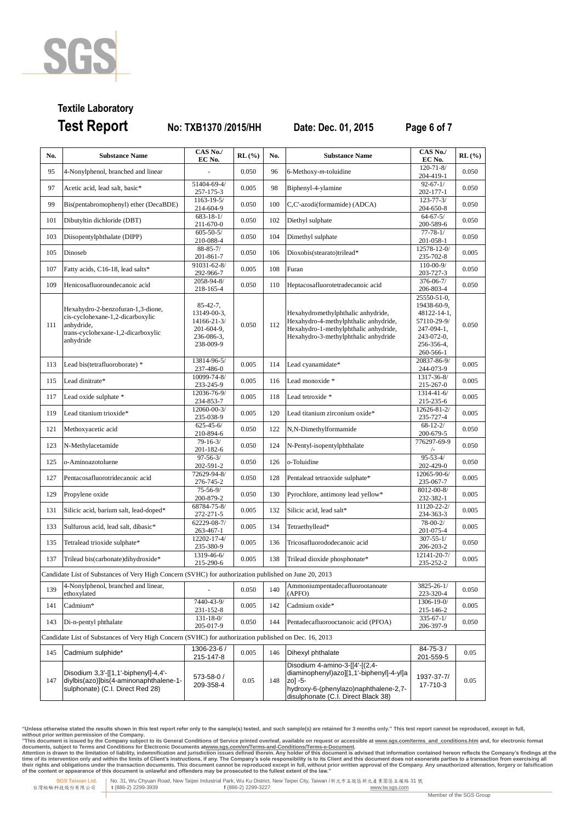

# **Textile Laboratory Test Report No: TXB1370 /2015/HH Date: Dec. 01, 2015 Page 6 of 7**

| No. | <b>Substance Name</b>                                                                                                                  | CAS No./<br>EC No.                                                                     | $RL(\%)$ | No. | <b>Substance Name</b>                                                                                                                                                 | CAS No./<br>EC No.                                                                                                 | $RL$ (%) |
|-----|----------------------------------------------------------------------------------------------------------------------------------------|----------------------------------------------------------------------------------------|----------|-----|-----------------------------------------------------------------------------------------------------------------------------------------------------------------------|--------------------------------------------------------------------------------------------------------------------|----------|
| 95  | 4-Nonylphenol, branched and linear                                                                                                     |                                                                                        | 0.050    | 96  | $6$ -Methoxy- $m$ -toluidine                                                                                                                                          | $120 - 71 - 8$<br>204-419-1                                                                                        | 0.050    |
| 97  | Acetic acid, lead salt, basic*                                                                                                         | 51404-69-4/<br>257-175-3                                                               | 0.005    | 98  | Biphenyl-4-ylamine                                                                                                                                                    | $92 - 67 - 1/$<br>202-177-1                                                                                        | 0.050    |
| 99  | Bis(pentabromophenyl) ether (DecaBDE)                                                                                                  | 1163-19-5/<br>214-604-9                                                                | 0.050    | 100 | C,C'-azodi(formamide) (ADCA)                                                                                                                                          | $123 - 77 - 3/$<br>204-650-8                                                                                       | 0.050    |
| 101 | Dibutyltin dichloride (DBT)                                                                                                            | $683 - 18 - 1/$<br>211-670-0                                                           | 0.050    | 102 | Diethyl sulphate                                                                                                                                                      | $64 - 67 - 5/$<br>200-589-6                                                                                        | 0.050    |
| 103 | Diisopentylphthalate (DIPP)                                                                                                            | $605 - 50 - 5/$<br>210-088-4                                                           | 0.050    | 104 | Dimethyl sulphate                                                                                                                                                     | $77 - 78 - 1/$<br>201-058-1                                                                                        | 0.050    |
| 105 | Dinoseb                                                                                                                                | $88 - 85 - 7/$<br>201-861-7                                                            | 0.050    | 106 | Dioxobis(stearato)trilead*                                                                                                                                            | 12578-12-0/<br>235-702-8                                                                                           | 0.005    |
| 107 | Fatty acids, C16-18, lead salts*                                                                                                       | 91031-62-8/<br>292-966-7                                                               | 0.005    | 108 | Furan                                                                                                                                                                 | $110 - 00 - 9/$<br>203-727-3                                                                                       | 0.050    |
| 109 | Henicosafluoroundecanoic acid                                                                                                          | 2058-94-8/<br>218-165-4                                                                | 0.050    | 110 | Heptacosafluorotetradecanoic acid                                                                                                                                     | 376-06-7/<br>206-803-4                                                                                             | 0.050    |
| 111 | Hexahydro-2-benzofuran-1,3-dione,<br>cis-cyclohexane-1,2-dicarboxylic<br>anhydride,<br>trans-cyclohexane-1,2-dicarboxylic<br>anhydride | $85 - 42 - 7$ ,<br>13149-00-3,<br>14166-21-3/<br>201-604-9,<br>236-086-3,<br>238-009-9 | 0.050    | 112 | Hexahydromethylphthalic anhydride,<br>Hexahydro-4-methylphthalic anhydride,<br>Hexahydro-1-methylphthalic anhydride,<br>Hexahydro-3-methylphthalic anhydride          | 25550-51-0.<br>19438-60-9,<br>48122-14-1,<br>57110-29-9/<br>247-094-1,<br>$243-072-0$ ,<br>256-356-4,<br>260-566-1 | 0.050    |
| 113 | Lead bis(tetrafluoroborate) *                                                                                                          | 13814-96-5/<br>237-486-0                                                               | 0.005    | 114 | Lead cyanamidate*                                                                                                                                                     | 20837-86-9/<br>244-073-9                                                                                           | 0.005    |
| 115 | Lead dinitrate*                                                                                                                        | 10099-74-8/<br>233-245-9                                                               | 0.005    | 116 | Lead monoxide *                                                                                                                                                       | 1317-36-8/<br>215-267-0                                                                                            | 0.005    |
| 117 | Lead oxide sulphate *                                                                                                                  | 12036-76-9/<br>234-853-7                                                               | 0.005    | 118 | Lead tetroxide *                                                                                                                                                      | $1314 - 41 - 6/$<br>215-235-6                                                                                      | 0.005    |
| 119 | Lead titanium trioxide*                                                                                                                | 12060-00-3/<br>235-038-9                                                               | 0.005    | 120 | Lead titanium zirconium oxide*                                                                                                                                        | 12626-81-2/<br>235-727-4                                                                                           | 0.005    |
| 121 | Methoxyacetic acid                                                                                                                     | $625 - 45 - 6/$<br>210-894-6                                                           | 0.050    | 122 | N,N-Dimethylformamide                                                                                                                                                 | $68 - 12 - 2/$<br>200-679-5                                                                                        | 0.050    |
| 123 | N-Methylacetamide                                                                                                                      | $79 - 16 - 3/$<br>201-182-6                                                            | 0.050    | 124 | N-Pentyl-isopentylphthalate                                                                                                                                           | 776297-69-9<br>$/$ -                                                                                               | 0.050    |
| 125 | o-Aminoazotoluene                                                                                                                      | $97 - 56 - 3/$<br>202-591-2                                                            | 0.050    | 126 | $o$ -Toluidine                                                                                                                                                        | $95 - 53 - 4/$<br>202-429-0                                                                                        | 0.050    |
| 127 | Pentacosafluorotridecanoic acid                                                                                                        | 72629-94-8/<br>276-745-2                                                               | 0.050    | 128 | Pentalead tetraoxide sulphate*                                                                                                                                        | 12065-90-6/<br>235-067-7                                                                                           | 0.005    |
| 129 | Propylene oxide                                                                                                                        | $75 - 56 - 9/$<br>200-879-2                                                            | 0.050    | 130 | Pyrochlore, antimony lead yellow*                                                                                                                                     | 8012-00-8/<br>232-382-1                                                                                            | 0.005    |
| 131 | Silicic acid, barium salt, lead-doped*                                                                                                 | 68784-75-8/<br>272-271-5                                                               | 0.005    | 132 | Silicic acid, lead salt*                                                                                                                                              | 11120-22-2/<br>234-363-3                                                                                           | 0.005    |
| 133 | Sulfurous acid, lead salt, dibasic*                                                                                                    | 62229-08-7/<br>263-467-1                                                               | 0.005    | 134 | Tetraethyllead*                                                                                                                                                       | $78 - 00 - 2/$<br>201-075-4                                                                                        | 0.005    |
| 135 | Tetralead trioxide sulphate*                                                                                                           | 12202-17-4/<br>235-380-9                                                               | 0.005    | 136 | Tricosafluorododecanoic acid                                                                                                                                          | $307 - 55 - 1/$<br>206-203-2                                                                                       | 0.050    |
| 137 | Trilead bis(carbonate)dihydroxide*                                                                                                     | 1319-46-6/<br>215-290-6                                                                | 0.005    | 138 | Trilead dioxide phosphonate*                                                                                                                                          | 12141-20-7/<br>235-252-2                                                                                           | 0.005    |
|     | Candidate List of Substances of Very High Concern (SVHC) for authorization published on June 20, 2013                                  |                                                                                        |          |     |                                                                                                                                                                       |                                                                                                                    |          |
| 139 | 4-Nonylphenol, branched and linear,<br>ethoxylated                                                                                     | $\overline{\phantom{a}}$                                                               | 0.050    | 140 | Ammoniumpentadecafluorootanoate<br>(APFO)                                                                                                                             | $3825 - 26 - 1/$<br>223-320-4                                                                                      | 0.050    |
| 141 | Cadmium*                                                                                                                               | 7440-43-9/<br>231-152-8                                                                | 0.005    | 142 | Cadmium oxide*                                                                                                                                                        | 1306-19-0/<br>215-146-2                                                                                            | 0.005    |
| 143 | Di-n-pentyl phthalate                                                                                                                  | $131 - 18 - 0/$<br>205-017-9                                                           | 0.050    | 144 | Pentadecafluorooctanoic acid (PFOA)                                                                                                                                   | $335 - 67 - 1/$<br>206-397-9                                                                                       | 0.050    |
|     | Candidate List of Substances of Very High Concern (SVHC) for authorization published on Dec. 16, 2013                                  |                                                                                        |          |     |                                                                                                                                                                       |                                                                                                                    |          |
| 145 | Cadmium sulphide*                                                                                                                      | 1306-23-6 /<br>215-147-8                                                               | 0.005    | 146 | Dihexyl phthalate                                                                                                                                                     | $84 - 75 - 3/$<br>201-559-5                                                                                        | 0.05     |
| 147 | Disodium 3,3'-[[1,1'-biphenyl]-4,4'-<br>diylbis(azo)]bis(4-aminonaphthalene-1-<br>sulphonate) (C.I. Direct Red 28)                     | 573-58-0 /<br>209-358-4                                                                | 0.05     | 148 | Disodium 4-amino-3-[[4'-[(2,4-<br>diaminophenyl)azo][1,1'-biphenyl]-4-yl]a<br>zo] -5-<br>hydroxy-6-(phenylazo)naphthalene-2,7-<br>disulphonate (C.I. Direct Black 38) | 1937-37-7/<br>17-710-3                                                                                             | 0.05     |

"Unless otherwise stated the results shown in this test report refer only to the sample(s) tested, and such sample(s) are retained for 3 months only." This test report cannot be reproduced, except in full,